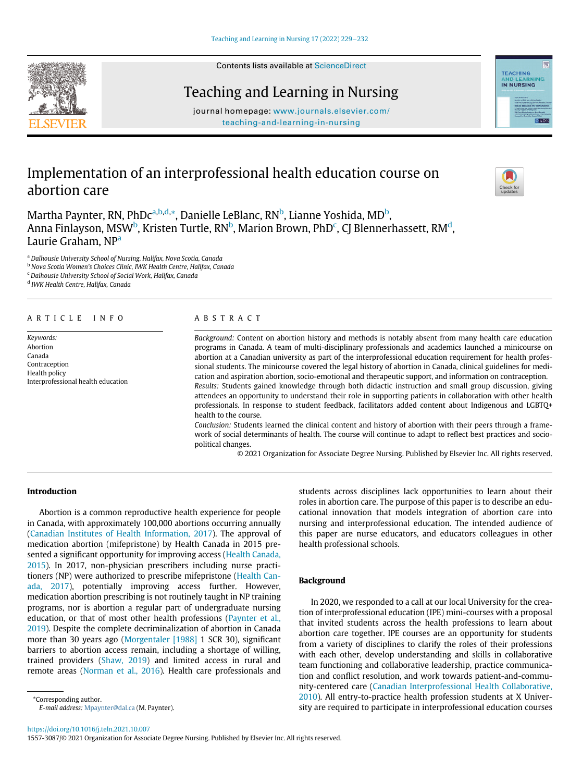

# Teaching and Learning in Nursing

journal homepage: [www.journals.elsevier.com/](http://www.journals.elsevier.com/teaching-and-learning-in-nursing) [teaching-and-learning-in-nursing](http://www.journals.elsevier.com/teaching-and-learning-in-nursing)

# Implementation of an interprofessional health education course on abortion care



**TEACHING** 

**IN NURSING** 

**VING** 

lo si

M[a](#page-0-0)rtha Paynter, RN, PhDc<sup>a[,b,](#page-0-1)[d](#page-0-2),</sup>[\\*,](#page-0-3) Danielle LeBlanc, RN<sup>[b](#page-0-1)</sup>, Lianne Yoshida, MD<sup>b</sup>, Anna Finlayson, MSW<sup>[b](#page-0-1)</sup>, Kristen Turtle, RN<sup>b</sup>, Marion Brown, PhD<sup>[c](#page-0-4)</sup>, CJ Blennerhassett, RM<sup>d</sup>, Laurie Graham, NP<sup>a</sup>

<span id="page-0-0"></span><sup>a</sup> Dalhousie University School of Nursing, Halifax, Nova Scotia, Canada

<span id="page-0-1"></span>**b Nova Scotia Women's Choices Clinic, IWK Health Centre, Halifax, Canada** 

<span id="page-0-4"></span><span id="page-0-2"></span><sup>c</sup> Dalhousie University School of Social Work, Halifax, Canada

<sup>d</sup> IWK Health Centre, Halifax, Canada

#### ARTICLE INFO ABSTRACT

Keywords: Abortion Canada Contraception Health policy Interprofessional health education

Background: Content on abortion history and methods is notably absent from many health care education programs in Canada. A team of multi-disciplinary professionals and academics launched a minicourse on abortion at a Canadian university as part of the interprofessional education requirement for health professional students. The minicourse covered the legal history of abortion in Canada, clinical guidelines for medication and aspiration abortion, socio-emotional and therapeutic support, and information on contraception. Results: Students gained knowledge through both didactic instruction and small group discussion, giving attendees an opportunity to understand their role in supporting patients in collaboration with other health professionals. In response to student feedback, facilitators added content about Indigenous and LGBTQ+ health to the course.

Conclusion: Students learned the clinical content and history of abortion with their peers through a framework of social determinants of health. The course will continue to adapt to reflect best practices and sociopolitical changes.

© 2021 Organization for Associate Degree Nursing. Published by Elsevier Inc. All rights reserved.

# Introduction

Abortion is a common reproductive health experience for people in Canada, with approximately 100,000 abortions occurring annually ([Canadian Institutes of Health Information, 2017](#page-2-0)). The approval of medication abortion (mifepristone) by Health Canada in 2015 presented a significant opportunity for improving access ([Health Canada,](#page-3-0) [2015](#page-3-0)). In 2017, non-physician prescribers including nurse practitioners (NP) were authorized to prescribe mifepristone [\(Health Can](#page-3-1)[ada, 2017](#page-3-1)), potentially improving access further. However, medication abortion prescribing is not routinely taught in NP training programs, nor is abortion a regular part of undergraduate nursing education, or that of most other health professions [\(Paynter et al.,](#page-3-2) [2019](#page-3-2)). Despite the complete decriminalization of abortion in Canada more than 30 years ago [\(Morgentaler \[1988\]](#page-3-3) 1 SCR 30), significant barriers to abortion access remain, including a shortage of willing, trained providers ([Shaw, 2019](#page-3-4)) and limited access in rural and remote areas [\(Norman et al., 2016](#page-3-5)). Health care professionals and

<span id="page-0-3"></span>\*Corresponding author. E-mail address: [Mpaynter@dal.ca](mailto:Mpaynter@dal.ca) (M. Paynter). students across disciplines lack opportunities to learn about their roles in abortion care. The purpose of this paper is to describe an educational innovation that models integration of abortion care into nursing and interprofessional education. The intended audience of this paper are nurse educators, and educators colleagues in other health professional schools.

## Background

In 2020, we responded to a call at our local University for the creation of interprofessional education (IPE) mini-courses with a proposal that invited students across the health professions to learn about abortion care together. IPE courses are an opportunity for students from a variety of disciplines to clarify the roles of their professions with each other, develop understanding and skills in collaborative team functioning and collaborative leadership, practice communication and conflict resolution, and work towards patient-and-community-centered care [\(Canadian Interprofessional Health Collaborative,](#page-3-6) [2010](#page-3-6)). All entry-to-practice health profession students at X University are required to participate in interprofessional education courses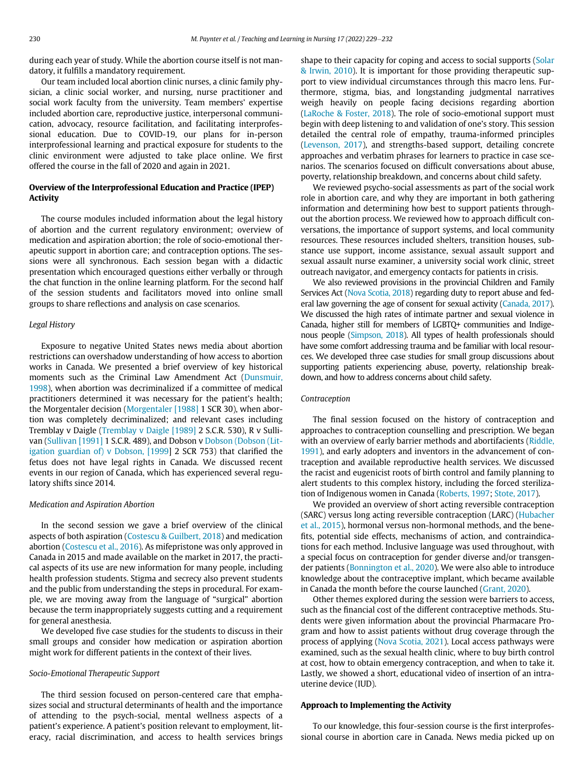during each year of study. While the abortion course itself is not mandatory, it fulfills a mandatory requirement.

Our team included local abortion clinic nurses, a clinic family physician, a clinic social worker, and nursing, nurse practitioner and social work faculty from the university. Team members' expertise included abortion care, reproductive justice, interpersonal communication, advocacy, resource facilitation, and facilitating interprofessional education. Due to COVID-19, our plans for in-person interprofessional learning and practical exposure for students to the clinic environment were adjusted to take place online. We first offered the course in the fall of 2020 and again in 2021.

# Overview of the Interprofessional Education and Practice (IPEP) **Activity**

The course modules included information about the legal history of abortion and the current regulatory environment; overview of medication and aspiration abortion; the role of socio-emotional therapeutic support in abortion care; and contraception options. The sessions were all synchronous. Each session began with a didactic presentation which encouraged questions either verbally or through the chat function in the online learning platform. For the second half of the session students and facilitators moved into online small groups to share reflections and analysis on case scenarios.

#### Legal History

Exposure to negative United States news media about abortion restrictions can overshadow understanding of how access to abortion works in Canada. We presented a brief overview of key historical moments such as the Criminal Law Amendment Act ([Dunsmuir,](#page-3-7) [1998](#page-3-7)), when abortion was decriminalized if a committee of medical practitioners determined it was necessary for the patient's health; the Morgentaler decision [\(Morgentaler \[1988\]](#page-3-3) 1 SCR 30), when abortion was completely decriminalized; and relevant cases including Tremblay v Daigle [\(Tremblay v Daigle \[1989\]](#page-3-8) 2 S.C.R. 530), R v Sulli-van ([Sullivan \[1991\]](#page-3-9) 1 S.C.R. 489), and Dobson v [Dobson \(Dobson \(Lit](#page-3-10)[igation guardian of\) v Dobson, \[1999](#page-3-10)] 2 SCR 753) that clarified the fetus does not have legal rights in Canada. We discussed recent events in our region of Canada, which has experienced several regulatory shifts since 2014.

#### Medication and Aspiration Abortion

In the second session we gave a brief overview of the clinical aspects of both aspiration [\(Costescu & Guilbert, 2018\)](#page-3-11) and medication abortion ([Costescu et al., 2016](#page-3-12)). As mifepristone was only approved in Canada in 2015 and made available on the market in 2017, the practical aspects of its use are new information for many people, including health profession students. Stigma and secrecy also prevent students and the public from understanding the steps in procedural. For example, we are moving away from the language of "surgical" abortion because the term inappropriately suggests cutting and a requirement for general anesthesia.

We developed five case studies for the students to discuss in their small groups and consider how medication or aspiration abortion might work for different patients in the context of their lives.

#### Socio-Emotional Therapeutic Support

The third session focused on person-centered care that emphasizes social and structural determinants of health and the importance of attending to the psych-social, mental wellness aspects of a patient's experience. A patient's position relevant to employment, literacy, racial discrimination, and access to health services brings shape to their capacity for coping and access to social supports ([Solar](#page-3-13) [& Irwin, 2010](#page-3-13)). It is important for those providing therapeutic support to view individual circumstances through this macro lens. Furthermore, stigma, bias, and longstanding judgmental narratives weigh heavily on people facing decisions regarding abortion ([LaRoche & Foster, 2018](#page-3-14)). The role of socio-emotional support must begin with deep listening to and validation of one's story. This session detailed the central role of empathy, trauma-informed principles ([Levenson, 2017](#page-3-15)), and strengths-based support, detailing concrete approaches and verbatim phrases for learners to practice in case scenarios. The scenarios focused on difficult conversations about abuse, poverty, relationship breakdown, and concerns about child safety.

We reviewed psycho-social assessments as part of the social work role in abortion care, and why they are important in both gathering information and determining how best to support patients throughout the abortion process. We reviewed how to approach difficult conversations, the importance of support systems, and local community resources. These resources included shelters, transition houses, substance use support, income assistance, sexual assault support and sexual assault nurse examiner, a university social work clinic, street outreach navigator, and emergency contacts for patients in crisis.

We also reviewed provisions in the provincial Children and Family Services Act [\(Nova Scotia, 2018](#page-3-16)) regarding duty to report abuse and federal law governing the age of consent for sexual activity ([Canada, 2017](#page-2-1)). We discussed the high rates of intimate partner and sexual violence in Canada, higher still for members of LGBTQ+ communities and Indigenous people [\(Simpson, 2018\)](#page-3-17). All types of health professionals should have some comfort addressing trauma and be familiar with local resources. We developed three case studies for small group discussions about supporting patients experiencing abuse, poverty, relationship breakdown, and how to address concerns about child safety.

#### Contraception

The final session focused on the history of contraception and approaches to contraception counselling and prescription. We began with an overview of early barrier methods and abortifacients ([Riddle,](#page-3-18) [1991](#page-3-18)), and early adopters and inventors in the advancement of contraception and available reproductive health services. We discussed the racist and eugenicist roots of birth control and family planning to alert students to this complex history, including the forced sterilization of Indigenous women in Canada [\(Roberts, 1997](#page-3-19); [Stote, 2017](#page-3-20)).

We provided an overview of short acting reversible contraception (SARC) versus long acting reversible contraception (LARC) ([Hubacher](#page-3-21) [et al., 2015](#page-3-21)), hormonal versus non-hormonal methods, and the benefits, potential side effects, mechanisms of action, and contraindications for each method. Inclusive language was used throughout, with a special focus on contraception for gender diverse and/or transgen-der patients [\(Bonnington et al., 2020\)](#page-2-2). We were also able to introduce knowledge about the contraceptive implant, which became available in Canada the month before the course launched [\(Grant, 2020\)](#page-3-22).

Other themes explored during the session were barriers to access, such as the financial cost of the different contraceptive methods. Students were given information about the provincial Pharmacare Program and how to assist patients without drug coverage through the process of applying [\(Nova Scotia, 2021\)](#page-3-23). Local access pathways were examined, such as the sexual health clinic, where to buy birth control at cost, how to obtain emergency contraception, and when to take it. Lastly, we showed a short, educational video of insertion of an intrauterine device (IUD).

#### Approach to Implementing the Activity

To our knowledge, this four-session course is the first interprofessional course in abortion care in Canada. News media picked up on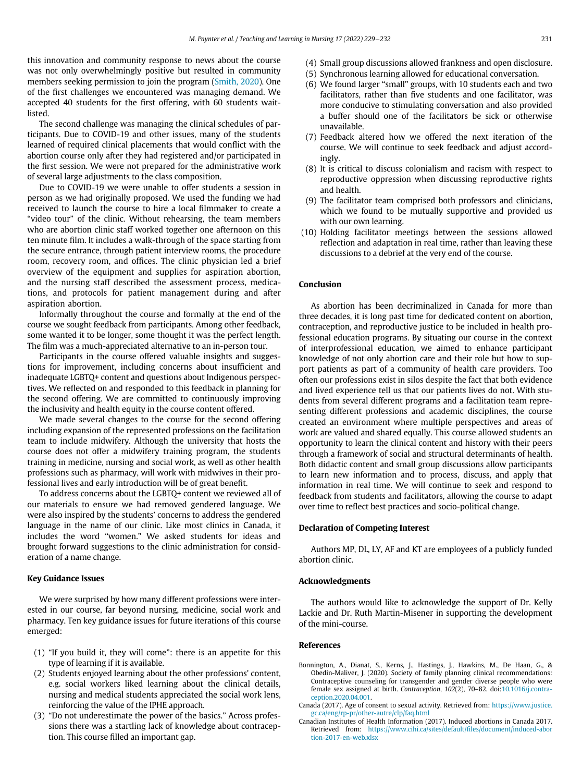this innovation and community response to news about the course was not only overwhelmingly positive but resulted in community members seeking permission to join the program ([Smith, 2020](#page-3-24)). One of the first challenges we encountered was managing demand. We accepted 40 students for the first offering, with 60 students waitlisted.

The second challenge was managing the clinical schedules of participants. Due to COVID-19 and other issues, many of the students learned of required clinical placements that would conflict with the abortion course only after they had registered and/or participated in the first session. We were not prepared for the administrative work of several large adjustments to the class composition.

Due to COVID-19 we were unable to offer students a session in person as we had originally proposed. We used the funding we had received to launch the course to hire a local filmmaker to create a "video tour" of the clinic. Without rehearsing, the team members who are abortion clinic staff worked together one afternoon on this ten minute film. It includes a walk-through of the space starting from the secure entrance, through patient interview rooms, the procedure room, recovery room, and offices. The clinic physician led a brief overview of the equipment and supplies for aspiration abortion, and the nursing staff described the assessment process, medications, and protocols for patient management during and after aspiration abortion.

Informally throughout the course and formally at the end of the course we sought feedback from participants. Among other feedback, some wanted it to be longer, some thought it was the perfect length. The film was a much-appreciated alternative to an in-person tour.

Participants in the course offered valuable insights and suggestions for improvement, including concerns about insufficient and inadequate LGBTQ+ content and questions about Indigenous perspectives. We reflected on and responded to this feedback in planning for the second offering. We are committed to continuously improving the inclusivity and health equity in the course content offered.

We made several changes to the course for the second offering including expansion of the represented professions on the facilitation team to include midwifery. Although the university that hosts the course does not offer a midwifery training program, the students training in medicine, nursing and social work, as well as other health professions such as pharmacy, will work with midwives in their professional lives and early introduction will be of great benefit.

To address concerns about the LGBTQ+ content we reviewed all of our materials to ensure we had removed gendered language. We were also inspired by the students' concerns to address the gendered language in the name of our clinic. Like most clinics in Canada, it includes the word "women." We asked students for ideas and brought forward suggestions to the clinic administration for consideration of a name change.

## Key Guidance Issues

We were surprised by how many different professions were interested in our course, far beyond nursing, medicine, social work and pharmacy. Ten key guidance issues for future iterations of this course emerged:

- (1) "If you build it, they will come": there is an appetite for this type of learning if it is available.
- <span id="page-2-2"></span>(2) Students enjoyed learning about the other professions' content, e.g. social workers liked learning about the clinical details, nursing and medical students appreciated the social work lens, reinforcing the value of the IPHE approach.
- <span id="page-2-1"></span><span id="page-2-0"></span>(3) "Do not underestimate the power of the basics." Across professions there was a startling lack of knowledge about contraception. This course filled an important gap.
- (4) Small group discussions allowed frankness and open disclosure.
- (5) Synchronous learning allowed for educational conversation.
- (6) We found larger "small" groups, with 10 students each and two facilitators, rather than five students and one facilitator, was more conducive to stimulating conversation and also provided a buffer should one of the facilitators be sick or otherwise unavailable.
- (7) Feedback altered how we offered the next iteration of the course. We will continue to seek feedback and adjust accordingly.
- (8) It is critical to discuss colonialism and racism with respect to reproductive oppression when discussing reproductive rights and health.
- (9) The facilitator team comprised both professors and clinicians, which we found to be mutually supportive and provided us with our own learning.
- (10) Holding facilitator meetings between the sessions allowed reflection and adaptation in real time, rather than leaving these discussions to a debrief at the very end of the course.

# Conclusion

As abortion has been decriminalized in Canada for more than three decades, it is long past time for dedicated content on abortion, contraception, and reproductive justice to be included in health professional education programs. By situating our course in the context of interprofessional education, we aimed to enhance participant knowledge of not only abortion care and their role but how to support patients as part of a community of health care providers. Too often our professions exist in silos despite the fact that both evidence and lived experience tell us that our patients lives do not. With students from several different programs and a facilitation team representing different professions and academic disciplines, the course created an environment where multiple perspectives and areas of work are valued and shared equally. This course allowed students an opportunity to learn the clinical content and history with their peers through a framework of social and structural determinants of health. Both didactic content and small group discussions allow participants to learn new information and to process, discuss, and apply that information in real time. We will continue to seek and respond to feedback from students and facilitators, allowing the course to adapt over time to reflect best practices and socio-political change.

#### Declaration of Competing Interest

Authors MP, DL, LY, AF and KT are employees of a publicly funded abortion clinic.

# Acknowledgments

The authors would like to acknowledge the support of Dr. Kelly Lackie and Dr. Ruth Martin-Misener in supporting the development of the mini-course.

#### References

- Bonnington, A., Dianat, S., Kerns, J., Hastings, J., Hawkins, M., De Haan, G., & Obedin-Maliver, J. (2020). Society of family planning clinical recommendations: Contraceptive counseling for transgender and gender diverse people who were female sex assigned at birth. Contraception, 102(2), 70–82. doi:[10.1016/j.contra](http://dx.doi.org/10.1016/j.contraception.2020.04.001)[ception.2020.04.001.](http://dx.doi.org/10.1016/j.contraception.2020.04.001)
- Canada (2017). Age of consent to sexual activity. Retrieved from: [https://www.justice.](https://www.justice.gc.ca/eng/rp-pr/other-autre/clp/faq.html) [gc.ca/eng/rp-pr/other-autre/clp/faq.html](https://www.justice.gc.ca/eng/rp-pr/other-autre/clp/faq.html)
- Canadian Institutes of Health Information (2017). Induced abortions in Canada 2017. Retrieved from: [https://www.cihi.ca/sites/default/](https://www.cihi.ca/sites/default/files/document/induced-abortion-2017-en-web.xlsx)files/document/induced-abor [tion-2017-en-web.xlsx](https://www.cihi.ca/sites/default/files/document/induced-abortion-2017-en-web.xlsx)